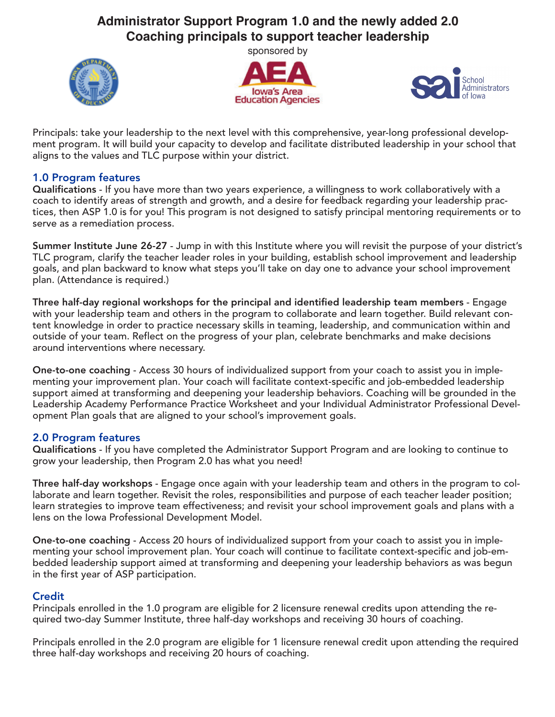# Administrator Support Program 1.0 and the newly added 2.0 **Coaching principals to support teacher leadership**

sponsored by







Principals: take your leadership to the next level with this comprehensive, year-long professional development program. It will build your capacity to develop and facilitate distributed leadership in your school that aligns to the values and TLC purpose within your district.

### 1.0 Program features

Qualifications - If you have more than two years experience, a willingness to work collaboratively with a coach to identify areas of strength and growth, and a desire for feedback regarding your leadership practices, then ASP 1.0 is for you! This program is not designed to satisfy principal mentoring requirements or to serve as a remediation process.

Summer Institute June 26-27 - Jump in with this Institute where you will revisit the purpose of your district's TLC program, clarify the teacher leader roles in your building, establish school improvement and leadership goals, and plan backward to know what steps you'll take on day one to advance your school improvement plan. (Attendance is required.)

Three half-day regional workshops for the principal and identified leadership team members - Engage with your leadership team and others in the program to collaborate and learn together. Build relevant content knowledge in order to practice necessary skills in teaming, leadership, and communication within and outside of your team. Reflect on the progress of your plan, celebrate benchmarks and make decisions around interventions where necessary.

One-to-one coaching - Access 30 hours of individualized support from your coach to assist you in implementing your improvement plan. Your coach will facilitate context-specific and job-embedded leadership support aimed at transforming and deepening your leadership behaviors. Coaching will be grounded in the Leadership Academy Performance Practice Worksheet and your ndividual Administrator Professional Development Plan goals that are aligned to your school's improvement goals.

# 2.0 Program features

Qualifications - If you have completed the Administrator Support Program and are looking to continue to grow your leadership, then Program 2.0 has what you need!

Three half-day workshops - Engage once again with your leadership team and others in the program to collaborate and learn together. Revisit the roles, responsibilities and purpose of each teacher leader position; learn strategies to improve team effectiveness; and revisit your school improvement goals and plans with a lens on the Iowa Professional Development Model.

One-to-one coaching - Access 20 hours of individualized support from your coach to assist you in implementing your school improvement plan. Your coach will continue to facilitate context-specific and job-embedded leadership support aimed at transforming and deepening your leadership behaviors as was begun in the first year of ASP participation.

# **Credit**

Principals enrolled in the 1.0 program are eligible for 2 licensure renewal credits upon attending the required two-day Summer nstitute, three half-day workshops and receiving 30 hours of coaching.

Principals enrolled in the 2.0 program are eligible for 1 licensure renewal credit upon attending the required three half-day workshops and receiving 20 hours of coaching.